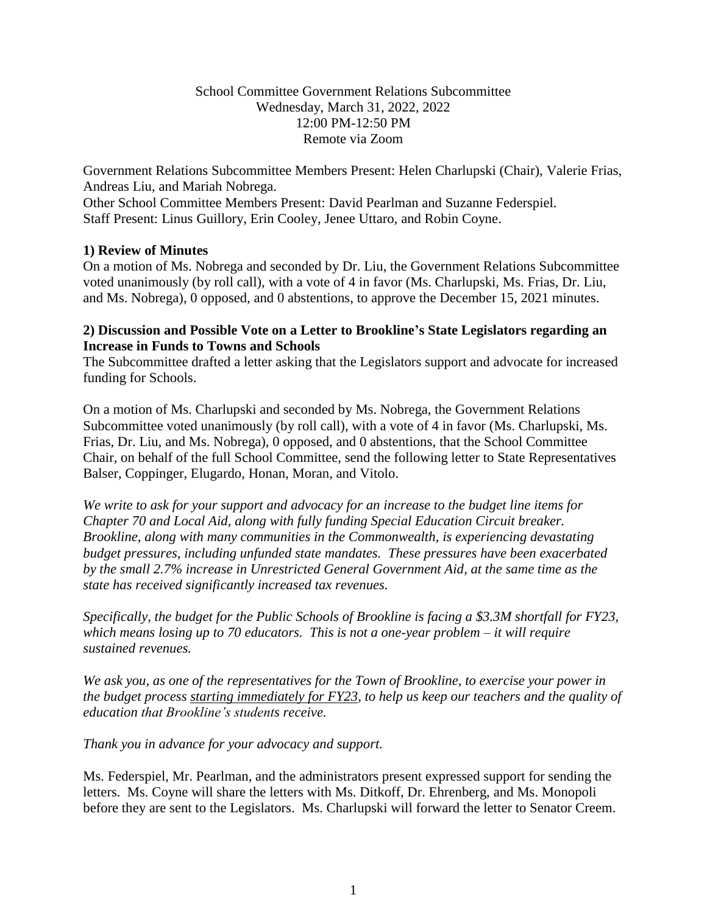## School Committee Government Relations Subcommittee Wednesday, March 31, 2022, 2022 12:00 PM-12:50 PM Remote via Zoom

Government Relations Subcommittee Members Present: Helen Charlupski (Chair), Valerie Frias, Andreas Liu, and Mariah Nobrega.

Other School Committee Members Present: David Pearlman and Suzanne Federspiel. Staff Present: Linus Guillory, Erin Cooley, Jenee Uttaro, and Robin Coyne.

## **1) Review of Minutes**

On a motion of Ms. Nobrega and seconded by Dr. Liu, the Government Relations Subcommittee voted unanimously (by roll call), with a vote of 4 in favor (Ms. Charlupski, Ms. Frias, Dr. Liu, and Ms. Nobrega), 0 opposed, and 0 abstentions, to approve the December 15, 2021 minutes.

## **2) Discussion and Possible Vote on a Letter to Brookline's State Legislators regarding an Increase in Funds to Towns and Schools**

The Subcommittee drafted a letter asking that the Legislators support and advocate for increased funding for Schools.

On a motion of Ms. Charlupski and seconded by Ms. Nobrega, the Government Relations Subcommittee voted unanimously (by roll call), with a vote of 4 in favor (Ms. Charlupski, Ms. Frias, Dr. Liu, and Ms. Nobrega), 0 opposed, and 0 abstentions, that the School Committee Chair, on behalf of the full School Committee, send the following letter to State Representatives Balser, Coppinger, Elugardo, Honan, Moran, and Vitolo.

*We write to ask for your support and advocacy for an increase to the budget line items for Chapter 70 and Local Aid, along with fully funding Special Education Circuit breaker. Brookline, along with many communities in the Commonwealth, is experiencing devastating budget pressures, including unfunded state mandates. These pressures have been exacerbated by the small 2.7% increase in Unrestricted General Government Aid, at the same time as the state has received significantly increased tax revenues.* 

*Specifically, the budget for the Public Schools of Brookline is facing a \$3.3M shortfall for FY23, which means losing up to 70 educators. This is not a one-year problem – it will require sustained revenues.* 

*We ask you, as one of the representatives for the Town of Brookline, to exercise your power in the budget process starting immediately for FY23, to help us keep our teachers and the quality of education that Brookline's students receive.* 

*Thank you in advance for your advocacy and support.*

Ms. Federspiel, Mr. Pearlman, and the administrators present expressed support for sending the letters. Ms. Coyne will share the letters with Ms. Ditkoff, Dr. Ehrenberg, and Ms. Monopoli before they are sent to the Legislators. Ms. Charlupski will forward the letter to Senator Creem.